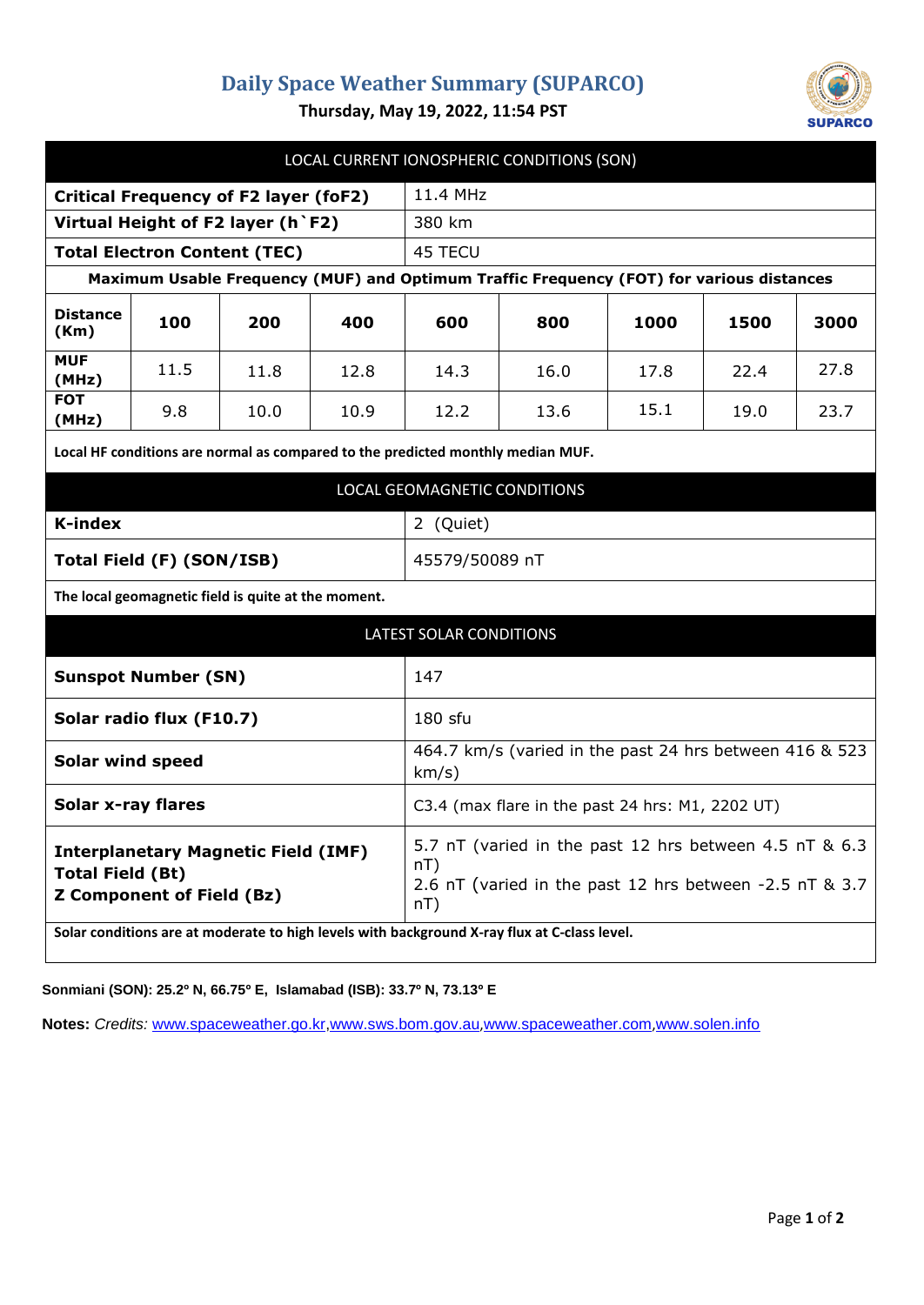## **Daily Space Weather Summary (SUPARCO)**



**Thursday, May 19, 2022, 11:54 PST**

| LOCAL CURRENT IONOSPHERIC CONDITIONS (SON)                                                                                                                                                                |                                                                                                                                       |      |      |      |      |      |
|-----------------------------------------------------------------------------------------------------------------------------------------------------------------------------------------------------------|---------------------------------------------------------------------------------------------------------------------------------------|------|------|------|------|------|
| <b>Critical Frequency of F2 layer (foF2)</b>                                                                                                                                                              | 11.4 MHz                                                                                                                              |      |      |      |      |      |
| Virtual Height of F2 layer (h `F2)                                                                                                                                                                        | 380 km                                                                                                                                |      |      |      |      |      |
| <b>Total Electron Content (TEC)</b>                                                                                                                                                                       | 45 TECU                                                                                                                               |      |      |      |      |      |
| Maximum Usable Frequency (MUF) and Optimum Traffic Frequency (FOT) for various distances                                                                                                                  |                                                                                                                                       |      |      |      |      |      |
| <b>Distance</b><br>100<br>200<br>(Km)                                                                                                                                                                     | 400                                                                                                                                   | 600  | 800  | 1000 | 1500 | 3000 |
| <b>MUF</b><br>11.5<br>11.8<br>(MHz)                                                                                                                                                                       | 12.8                                                                                                                                  | 14.3 | 16.0 | 17.8 | 22.4 | 27.8 |
| <b>FOT</b><br>9.8<br>10.0<br>(MHz)                                                                                                                                                                        | 10.9                                                                                                                                  | 12.2 | 13.6 | 15.1 | 19.0 | 23.7 |
| Local HF conditions are normal as compared to the predicted monthly median MUF.                                                                                                                           |                                                                                                                                       |      |      |      |      |      |
| LOCAL GEOMAGNETIC CONDITIONS                                                                                                                                                                              |                                                                                                                                       |      |      |      |      |      |
| <b>K-index</b>                                                                                                                                                                                            | 2 (Quiet)                                                                                                                             |      |      |      |      |      |
| Total Field (F) (SON/ISB)                                                                                                                                                                                 | 45579/50089 nT                                                                                                                        |      |      |      |      |      |
| The local geomagnetic field is quite at the moment.                                                                                                                                                       |                                                                                                                                       |      |      |      |      |      |
| <b>LATEST SOLAR CONDITIONS</b>                                                                                                                                                                            |                                                                                                                                       |      |      |      |      |      |
| <b>Sunspot Number (SN)</b>                                                                                                                                                                                | 147                                                                                                                                   |      |      |      |      |      |
| Solar radio flux (F10.7)                                                                                                                                                                                  | 180 sfu                                                                                                                               |      |      |      |      |      |
| <b>Solar wind speed</b>                                                                                                                                                                                   | 464.7 km/s (varied in the past 24 hrs between 416 & 523<br>km/s)                                                                      |      |      |      |      |      |
| <b>Solar x-ray flares</b>                                                                                                                                                                                 | C3.4 (max flare in the past 24 hrs: M1, 2202 UT)                                                                                      |      |      |      |      |      |
| <b>Interplanetary Magnetic Field (IMF)</b><br><b>Total Field (Bt)</b><br><b>Z Component of Field (Bz)</b><br>Solar conditions are at moderate to high levels with background X-ray flux at C-class level. | 5.7 nT (varied in the past 12 hrs between 4.5 nT & 6.3<br>$nT$ )<br>2.6 nT (varied in the past 12 hrs between -2.5 nT & 3.7<br>$nT$ ) |      |      |      |      |      |

**Sonmiani (SON): 25.2º N, 66.75º E, Islamabad (ISB): 33.7º N, 73.13º E**

**Notes:** *Credits:* [www.spaceweather.go.kr,](http://www.spaceweather.go.kr/)[www.sws.bom.gov.au](http://www.sws.bom.gov.au/),[www.spaceweather.com](http://www.spaceweather.com/),[www.solen.info](http://www.solen.info/)